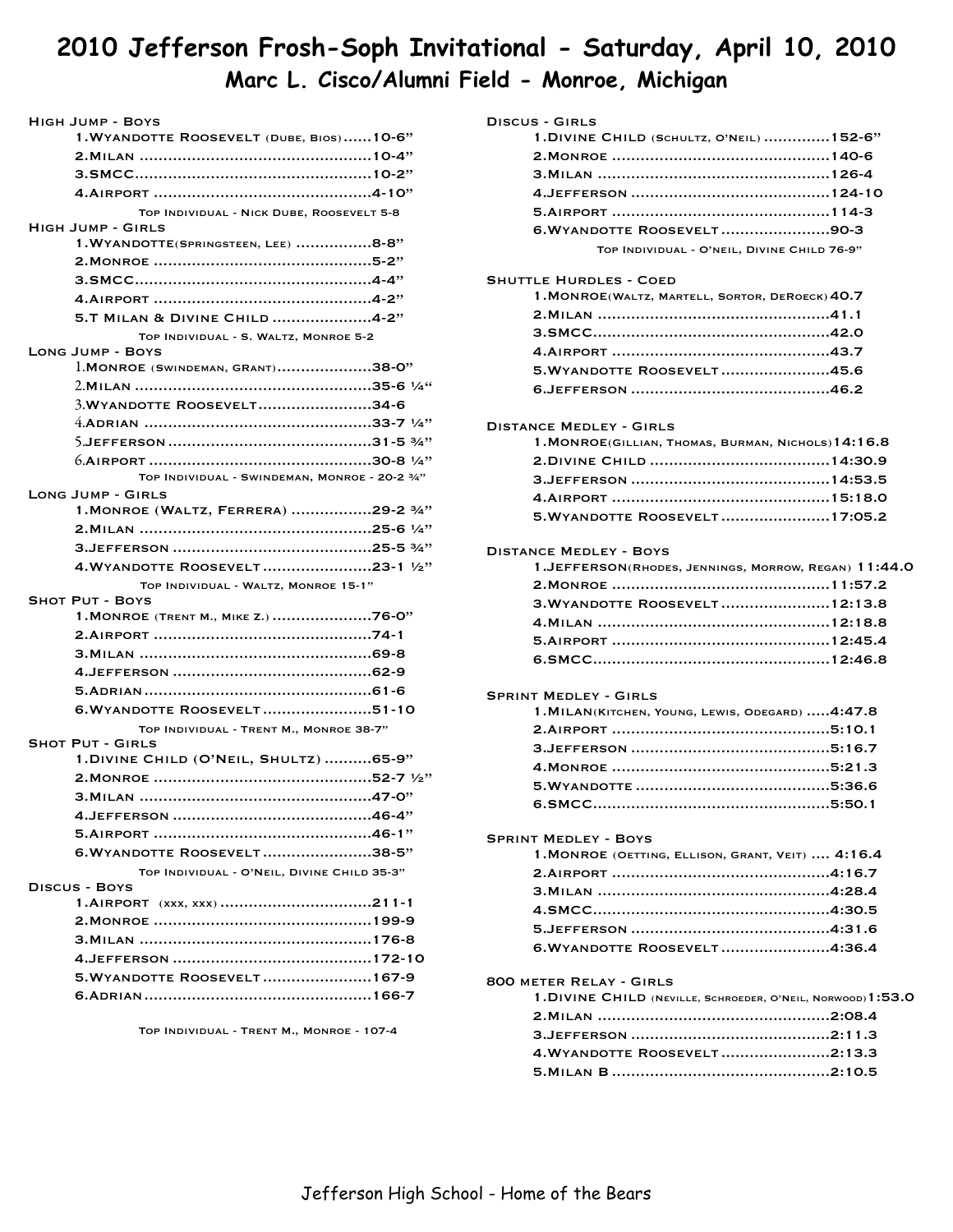# **2010 Jefferson Frosh-Soph Invitational - Saturday, April 10, 2010 Marc L. Cisco/Alumni Field - Monroe, Michigan**

| HIGH JUMP - BOYS                                                   |
|--------------------------------------------------------------------|
| 1. WYANDOTTE ROOSEVELT (DUBE, BIOS)10-6"                           |
|                                                                    |
|                                                                    |
|                                                                    |
| TOP INDIVIDUAL - NICK DUBE, ROOSEVELT 5-8                          |
| <b>HIGH JUMP - GIRLS</b>                                           |
| 1. WYANDOTTE(SPRINGSTEEN, LEE) 8-8"                                |
|                                                                    |
|                                                                    |
|                                                                    |
| 5.T MILAN & DIVINE CHILD 4-2"                                      |
| TOP INDIVIDUAL - S. WALTZ, MONROE 5-2                              |
| <b>LONG JUMP - BOYS</b><br>1. MONROE (SWINDEMAN, GRANT)38-0"       |
|                                                                    |
| 3. WYANDOTTE ROOSEVELT34-6                                         |
|                                                                    |
|                                                                    |
|                                                                    |
| TOP INDIVIDUAL - SWINDEMAN, MONROE - 20-2 3/4"                     |
| <b>LONG JUMP - GIRLS</b>                                           |
| 1. MONROE (WALTZ, FERRERA) 29-2 3/4"                               |
|                                                                    |
|                                                                    |
| 4.WYANDOTTE ROOSEVELT23-1 1/2"                                     |
|                                                                    |
|                                                                    |
| TOP INDIVIDUAL - WALTZ, MONROE 15-1"<br><b>SHOT PUT - BOYS</b>     |
| 1. MONROE (TRENT M., MIKE Z.) 76-0"                                |
|                                                                    |
|                                                                    |
|                                                                    |
|                                                                    |
|                                                                    |
| 6. WYANDOTTE ROOSEVELT51-10                                        |
| TOP INDIVIDUAL - TRENT M., MONROE 38-7"<br><b>SHOT PUT - GIRLS</b> |
| 1. DIVINE CHILD (O'NEIL, SHULTZ)  65-9"                            |
|                                                                    |
|                                                                    |
|                                                                    |
|                                                                    |
| 6. WYANDOTTE ROOSEVELT38-5"                                        |
| TOP INDIVIDUAL - O'NEIL, DIVINE CHILD 35-3"                        |
| DISCUS - BOYS                                                      |
|                                                                    |
|                                                                    |
|                                                                    |
|                                                                    |
| 5. WYANDOTTE ROOSEVELT 167-9                                       |
|                                                                    |

Top Individual - Trent M., Monroe - 107-4

| DISCUS - GIRLS                                             |
|------------------------------------------------------------|
| 1. DIVINE CHILD (SCHULTZ, O'NEIL)  152-6"                  |
|                                                            |
|                                                            |
|                                                            |
|                                                            |
|                                                            |
| 6. WYANDOTTE ROOSEVELT90-3                                 |
| TOP INDIVIDUAL - O'NEIL, DIVINE CHILD 76-9"                |
| <b>SHUTTLE HURDLES - COED</b>                              |
| 1. MONROE(WALTZ, MARTELL, SORTOR, DEROECK) 40.7            |
|                                                            |
|                                                            |
|                                                            |
| 5. WYANDOTTE ROOSEVELT45.6                                 |
|                                                            |
|                                                            |
| <b>DISTANCE MEDLEY - GIRLS</b>                             |
| $1.$ MONROE(GILLIAN, THOMAS, BURMAN, NICHOLS) $14:16.8$    |
|                                                            |
|                                                            |
|                                                            |
| 5. WYANDOTTE ROOSEVELT17:05.2                              |
|                                                            |
| <b>DISTANCE MEDLEY - BOYS</b>                              |
| $1.$ JEFFERSON(RHODES, JENNINGS, MORROW, REGAN) $11:44.0$  |
|                                                            |
| 3. WYANDOTTE ROOSEVELT12:13.8                              |
|                                                            |
|                                                            |
|                                                            |
|                                                            |
| <b>SPRINT MEDLEY - GIRLS</b>                               |
| 1. MILAN(KITCHEN, YOUNG, LEWIS, ODEGARD)  4:47.8           |
|                                                            |
|                                                            |
|                                                            |
|                                                            |
| 6.SMCC.<br>5:50.1                                          |
|                                                            |
| <b>SPRINT MEDLEY - BOYS</b>                                |
| 1. MONROE (OETTING, ELLISON, GRANT, VEIT)  4:16.4          |
|                                                            |
|                                                            |
|                                                            |
|                                                            |
| 6. WYANDOTTE ROOSEVELT4:36.4                               |
| <b>800 METER RELAY - GIRLS</b>                             |
| 1.DIVINE CHILD (NEVILLE, SCHROEDER, O'NEIL, NORWOOD)1:53.0 |
|                                                            |
|                                                            |
| 4. WYANDOTTE ROOSEVELT2:13.3                               |
|                                                            |
|                                                            |